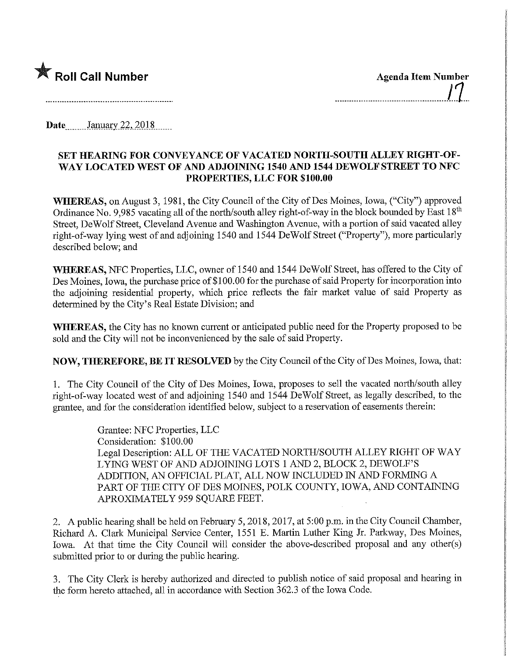

| <b>Agenda Item Number</b> |                |
|---------------------------|----------------|
|                           | $\overline{1}$ |
|                           |                |

Date January 22, 2018.

## SET HEARING FOR CONVEYANCE OF VACATED NORTH-SOUTH ALLEY RIGHT-OF-WAY LOCATED WEST OF AND ADJOINING 1540 AND 1544 DEWOLF STREET TO NFC PROPERTIES, LLC FOR \$100.00

WHEREAS, on August 3, 1981, the City Council of the City of Des Moines, Iowa, ("City") approved Ordinance No. 9,985 vacating all of the north/south alley right-of-way in the block bounded by East  $18<sup>th</sup>$ Street, DeWolf Street, Cleveland Avenue and Washington Avenue, with a portion of said vacated alley right-of-way lying west of and adjoining 1540 and 1 544 DeWolf Street ("Property"), more particularly described below; and

WHEREAS, NFC Properties, LLC, owner of 1540 and 1544 DeWolf Street, has offered to the City of Des Moines, Iowa, the purchase price of \$100.00 for the purchase of said Property for incorporation into the adjoimng residential property, which price reflects the fair market value of said Property as determined by the City's Real Estate Division; and

WHEREAS, the City has no known current or anticipated public need for the Property proposed to be sold and the City will not be inconvenienced by the sale of said Property.

NOW, THEREFORE, BE IT RESOLVED by the City Council of the City of Des Moines, Iowa, that:

1. The City Council of the City of Des Moines, Iowa, proposes to sell the vacated north/south alley right-of-way located west of and adjoining 1540 and 1544 DeWolf Street, as legally described, to the grantee, and for the consideration identified below, subject to a reservation of easements therein:

> Grantee: NFC Properties, LLC Consideration: \$100.00 Legal Description: ALL OF THE VACATED NORTH/SOUTH ALLEY RIGHT OF WAY LYING WEST OF AND ADJOINING LOTS 1 AND 2, BLOCK 2, DEWOLF'S ADDITION, AN OFFICIAL PLAT, ALL NOW INCLUDED IN AND FORMING A PART OF THE CITY OF DES MOINES, POLK COUNTY, IOWA, AND CONTAINING APROXIMATELY 959 SQUARE FEET.

2. A public hearing shall be held on February 5, 2018,2017, at 5:00 p.m. in the City Council Chamber, Richard A. Clark Municipal Service Center, 1551 E. Martin Luther King Jr. Parkway, Des Moines, Iowa. At that time the City Council will consider the above-described proposal and any other(s) submitted prior to or during the public hearing.

3. The City Clerk is hereby authorized and directed to publish notice of said proposal and hearing in the form hereto attached, all in accordance with Section 362.3 of the Iowa Code.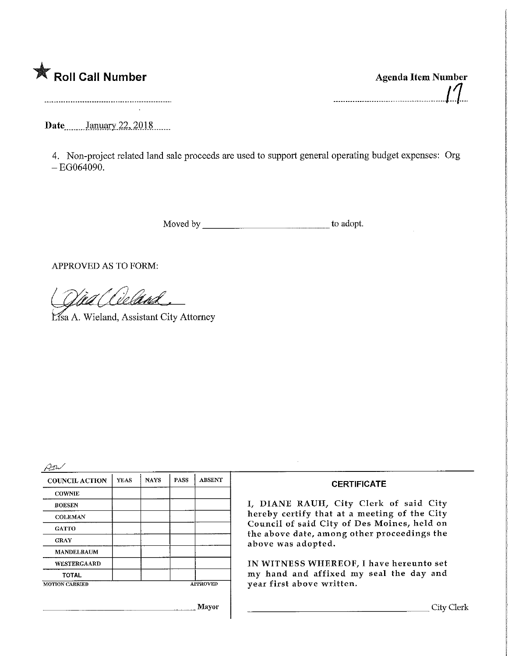

Agenda Item Number M. 

Date<sub>*Datum January* 22, 2018</sub>

4. Non-project related land sale proceeds are used to support general operating budget expenses: Org  $-EG064090.$ 

Moved by to adopt.

APPROVED AS TO FORM:

Lisa A. Wieland, Assistant City Attorney

 $\varrho_{\rm n}$ 

| <b>COUNCIL ACTION</b> | <b>YEAS</b> | <b>NAYS</b> | <b>PASS</b> | <b>ABSENT</b>   |
|-----------------------|-------------|-------------|-------------|-----------------|
| <b>COWNIE</b>         |             |             |             |                 |
| <b>BOESEN</b>         |             |             |             |                 |
| <b>COLEMAN</b>        |             |             |             |                 |
| <b>GATTO</b>          |             |             |             |                 |
| <b>GRAY</b>           |             |             |             |                 |
| <b>MANDELBAUM</b>     |             |             |             |                 |
| WESTERGAARD           |             |             |             |                 |
| <b>TOTAL</b>          |             |             |             |                 |
| <b>MOTION CARRIED</b> |             |             |             | <b>APPROVED</b> |
|                       |             |             |             | Mayor           |

## **CERTIFICATE**

I, DIANE RAUH/ City Clerk of said City hereby certify that at a meeting of the City Council of said City of Des Moines, held on the above date, among other proceedings the above was adopted.

IN WITNESS WHEREOF, I have hereunto set my hand and affixed my seal the day and year first above written.

City Clerk